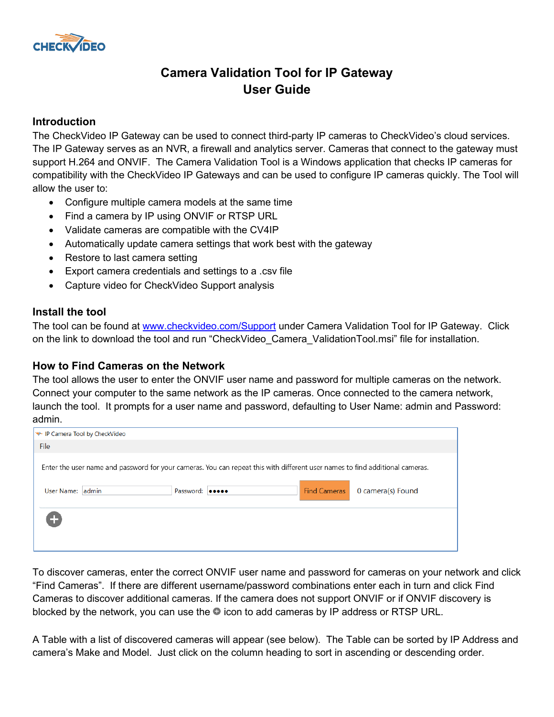

# **Camera Validation Tool for IP Gateway User Guide**

## **Introduction**

The CheckVideo IP Gateway can be used to connect third-party IP cameras to CheckVideo's cloud services. The IP Gateway serves as an NVR, a firewall and analytics server. Cameras that connect to the gateway must support H.264 and ONVIF. The Camera Validation Tool is a Windows application that checks IP cameras for compatibility with the CheckVideo IP Gateways and can be used to configure IP cameras quickly. The Tool will allow the user to:

- Configure multiple camera models at the same time
- Find a camera by IP using ONVIF or RTSP URL
- Validate cameras are compatible with the CV4IP
- Automatically update camera settings that work best with the gateway
- Restore to last camera setting
- Export camera credentials and settings to a .csv file
- Capture video for CheckVideo Support analysis

### **Install the tool**

The tool can be found at [www.checkvideo.com/Support](http://www.checkvideo.com/Support) under Camera Validation Tool for IP Gateway. Click on the link to download the tool and run "CheckVideo Camera ValidationTool.msi" file for installation.

# **How to Find Cameras on the Network**

The tool allows the user to enter the ONVIF user name and password for multiple cameras on the network. Connect your computer to the same network as the IP cameras. Once connected to the camera network, launch the tool. It prompts for a user name and password, defaulting to User Name: admin and Password: admin.

| ₩-IP Camera Tool by CheckVideo |  |                 |                                                                                                                              |                     |                   |
|--------------------------------|--|-----------------|------------------------------------------------------------------------------------------------------------------------------|---------------------|-------------------|
| File                           |  |                 |                                                                                                                              |                     |                   |
|                                |  |                 | Enter the user name and password for your cameras. You can repeat this with different user names to find additional cameras. |                     |                   |
| User Name: admin               |  | Password: 00000 |                                                                                                                              | <b>Find Cameras</b> | 0 camera(s) Found |
| Œ                              |  |                 |                                                                                                                              |                     |                   |
|                                |  |                 |                                                                                                                              |                     |                   |

To discover cameras, enter the correct ONVIF user name and password for cameras on your network and click "Find Cameras". If there are different username/password combinations enter each in turn and click Find Cameras to discover additional cameras. If the camera does not support ONVIF or if ONVIF discovery is blocked by the network, you can use the  $\bullet$  icon to add cameras by IP address or RTSP URL.

A Table with a list of discovered cameras will appear (see below). The Table can be sorted by IP Address and camera's Make and Model. Just click on the column heading to sort in ascending or descending order.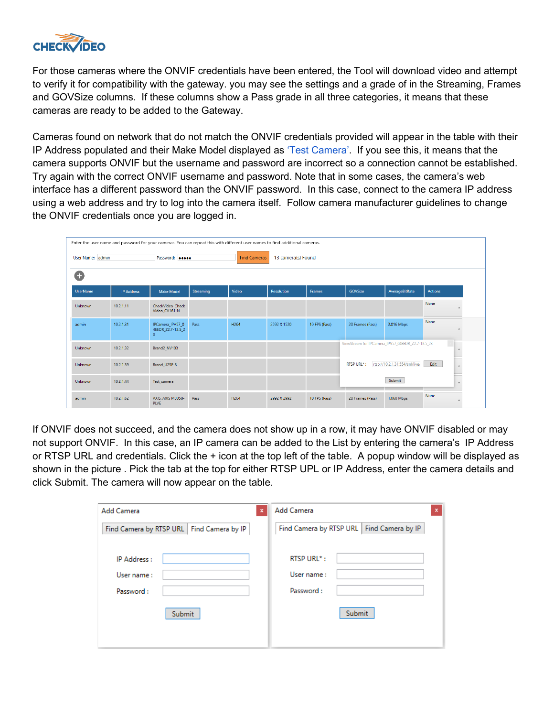

For those cameras where the ONVIF credentials have been entered, the Tool will download video and attempt to verify it for compatibility with the gateway. you may see the settings and a grade of in the Streaming, Frames and GOVSize columns. If these columns show a Pass grade in all three categories, it means that these cameras are ready to be added to the Gateway.

Cameras found on network that do not match the ONVIF credentials provided will appear in the table with their IP Address populated and their Make Model displayed as 'Test Camera'. If you see this, it means that the camera supports ONVIF but the username and password are incorrect so a connection cannot be established. Try again with the correct ONVIF username and password. Note that in some cases, the camera's web interface has a different password than the ONVIF password. In this case, connect to the camera IP address using a web address and try to log into the camera itself. Follow camera manufacturer guidelines to change the ONVIF credentials once you are logged in.

|                  | Enter the user name and password for your cameras. You can repeat this with different user names to find additional cameras. |                                                                  |                  |                     |                    |               |                                                   |                                |                  |
|------------------|------------------------------------------------------------------------------------------------------------------------------|------------------------------------------------------------------|------------------|---------------------|--------------------|---------------|---------------------------------------------------|--------------------------------|------------------|
|                  |                                                                                                                              |                                                                  |                  |                     |                    |               |                                                   |                                |                  |
| User Name: admin |                                                                                                                              | Password: 00000                                                  |                  | <b>Find Cameras</b> | 13 camera(s) Found |               |                                                   |                                |                  |
|                  |                                                                                                                              |                                                                  |                  |                     |                    |               |                                                   |                                |                  |
| ÷                |                                                                                                                              |                                                                  |                  |                     |                    |               |                                                   |                                |                  |
| <b>UserName</b>  | <b>IP Address</b>                                                                                                            | <b>Make Model</b>                                                | <b>Streaming</b> | Video               | <b>Resolution</b>  | <b>Frames</b> | GOVSize                                           | AverageBitRate                 | <b>Actions</b>   |
| Unknown          | 10.2.1.11                                                                                                                    | CheckVideo Check<br>Video CV181-N                                |                  |                     |                    |               |                                                   |                                | None<br>×.       |
| admin            | 10.2.1.31                                                                                                                    | IPCamera IPV57 0<br>4EEDR Z2.7-13.5 2<br>$\overline{\mathbf{3}}$ | Pass             | H264                | 2592 X 1520        | 10 FPS (Pass) | 20 Frames (Pass)                                  | 2.016 Mbps                     | None             |
| Unknown          | 10.2.1.32                                                                                                                    | Brand2 NV103                                                     |                  |                     |                    |               | ViewStream for IPCamera_IPV57_04EEDR_Z2.7-13.5_23 |                                | $\vee$           |
| Unknown          | 10.2.1.39                                                                                                                    | Brand U2SF-8                                                     |                  |                     |                    |               | RTSP URL*:                                        | rtsp://10.2.1.31:554/snl/live/ | Edit<br><b>N</b> |
| Unknown          | 10.2.1.44                                                                                                                    | Test camera                                                      |                  |                     |                    |               |                                                   | Submit                         | $\vee$           |
| admin            | 10.2.1.62                                                                                                                    | AXIS_AXIS M3058-<br><b>PLVE</b>                                  | Pass             | H264                | 2992 X 2992        | 10 FPS (Pass) | 20 Frames (Pass)                                  | 1.060 Mbps                     | None             |

If ONVIF does not succeed, and the camera does not show up in a row, it may have ONVIF disabled or may not support ONVIF. In this case, an IP camera can be added to the List by entering the camera's IP Address or RTSP URL and credentials. Click the + icon at the top left of the table. A popup window will be displayed as shown in the picture . Pick the tab at the top for either RTSP UPL or IP Address, enter the camera details and click Submit. The camera will now appear on the table.

| Add Camera<br>$\boldsymbol{\mathsf{x}}$     | Add Camera<br>$\boldsymbol{\mathsf{x}}$     |  |  |  |  |
|---------------------------------------------|---------------------------------------------|--|--|--|--|
| Find Camera by RTSP URL   Find Camera by IP | Find Camera by RTSP URL   Find Camera by IP |  |  |  |  |
| IP Address:                                 | <b>RTSP URL*:</b>                           |  |  |  |  |
| User name:                                  | User name:                                  |  |  |  |  |
| Password:                                   | Password:                                   |  |  |  |  |
| Submit                                      | Submit                                      |  |  |  |  |
|                                             |                                             |  |  |  |  |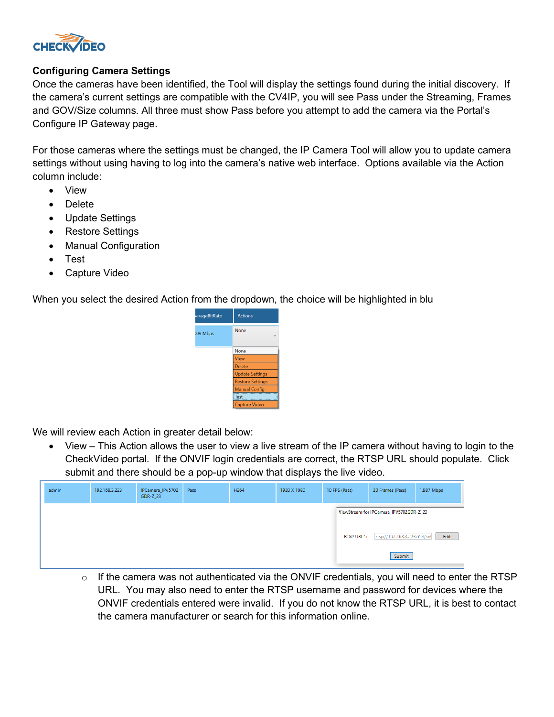

#### **Configuring Camera Settings**

Once the cameras have been identified, the Tool will display the settings found during the initial discovery. If the camera's current settings are compatible with the CV4IP, you will see Pass under the Streaming, Frames and GOV/Size columns. All three must show Pass before you attempt to add the camera via the Portal's Configure IP Gateway page.

For those cameras where the settings must be changed, the IP Camera Tool will allow you to update camera settings without using having to log into the camera's native web interface. Options available via the Action column include:

- View
- Delete
- Update Settings
- Restore Settings
- Manual Configuration
- Test
- Capture Video

When you select the desired Action from the dropdown, the choice will be highlighted in blu



We will review each Action in greater detail below:

• View – This Action allows the user to view a live stream of the IP camera without having to login to the CheckVideo portal. If the ONVIF login credentials are correct, the RTSP URL should populate. Click submit and there should be a pop-up window that displays the live video.

| admin | 192.168.3.223 | IPCamera_IPV5702<br><b>GDR-Z_23</b> | Pass | H <sub>264</sub> | 1920 X 1080 | 10 FPS (Pass)     | 20 Frames (Pass)                        | 1.987 Mbps |
|-------|---------------|-------------------------------------|------|------------------|-------------|-------------------|-----------------------------------------|------------|
|       |               |                                     |      |                  |             |                   | ViewStream for IPCamera IPV5702GDR-Z 23 |            |
|       |               |                                     |      |                  |             | <b>RTSP URL*:</b> | rtsp://192.168.3.223:554/snl            | Edit       |
|       |               |                                     |      |                  |             |                   | Submit                                  |            |

 $\circ$  If the camera was not authenticated via the ONVIF credentials, you will need to enter the RTSP URL. You may also need to enter the RTSP username and password for devices where the ONVIF credentials entered were invalid. If you do not know the RTSP URL, it is best to contact the camera manufacturer or search for this information online.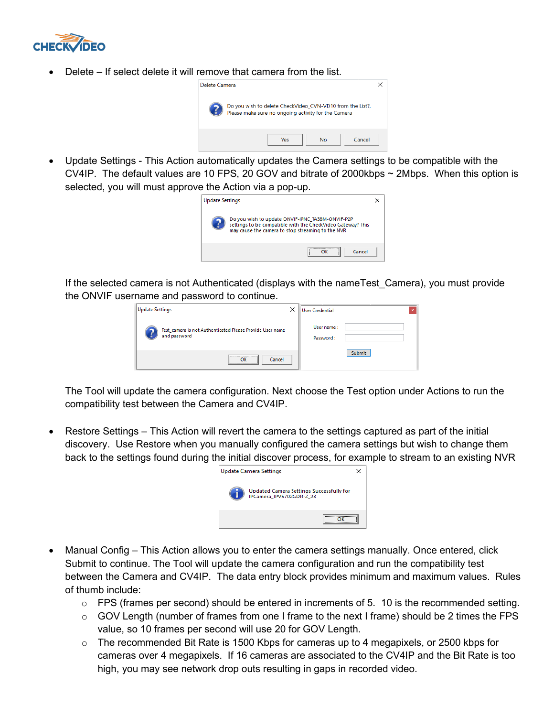

Delete – If select delete it will remove that camera from the list.



• Update Settings - This Action automatically updates the Camera settings to be compatible with the CV4IP. The default values are 10 FPS, 20 GOV and bitrate of 2000kbps ~ 2Mbps. When this option is selected, you will must approve the Action via a pop-up.



If the selected camera is not Authenticated (displays with the nameTest\_Camera), you must provide the ONVIF username and password to continue.

| <b>Update Settings</b> | $\times$                                                                               | <b>User Credential</b>  |  |
|------------------------|----------------------------------------------------------------------------------------|-------------------------|--|
|                        | Test camera is not Authenticated Please Provide User name<br>and password              | User name:<br>Password: |  |
|                        | ,,,,,,,,,,,,,,,,,,,,,,,,,,,,,,,,,<br>Cancel<br>OK<br><u> National communication of</u> | Submit                  |  |

The Tool will update the camera configuration. Next choose the Test option under Actions to run the compatibility test between the Camera and CV4IP.

• Restore Settings – This Action will revert the camera to the settings captured as part of the initial discovery. Use Restore when you manually configured the camera settings but wish to change them back to the settings found during the initial discover process, for example to stream to an existing NVR



- Manual Config This Action allows you to enter the camera settings manually. Once entered, click Submit to continue. The Tool will update the camera configuration and run the compatibility test between the Camera and CV4IP. The data entry block provides minimum and maximum values. Rules of thumb include:
	- $\circ$  FPS (frames per second) should be entered in increments of 5. 10 is the recommended setting.
	- $\circ$  GOV Length (number of frames from one I frame to the next I frame) should be 2 times the FPS value, so 10 frames per second will use 20 for GOV Length.
	- o The recommended Bit Rate is 1500 Kbps for cameras up to 4 megapixels, or 2500 kbps for cameras over 4 megapixels. If 16 cameras are associated to the CV4IP and the Bit Rate is too high, you may see network drop outs resulting in gaps in recorded video.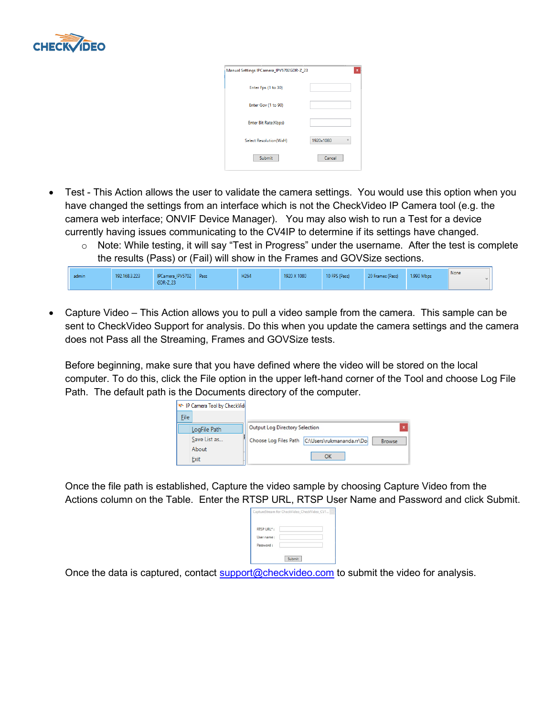

| Manual Settings IPCamera_IPV5702GDR-Z_23 | ×              |
|------------------------------------------|----------------|
| Enter Fps (1 to 30)                      |                |
| Enter Gov (1 to 90)                      |                |
| Enter Bit Rate(Kbps)                     |                |
| Select Resolution(WxH)                   | 1920×1080<br>v |
| Submit                                   | Cancel         |

- Test This Action allows the user to validate the camera settings. You would use this option when you have changed the settings from an interface which is not the CheckVideo IP Camera tool (e.g. the camera web interface; ONVIF Device Manager). You may also wish to run a Test for a device currently having issues communicating to the CV4IP to determine if its settings have changed.
	- $\circ$  Note: While testing, it will say "Test in Progress" under the username. After the test is complete the results (Pass) or (Fail) will show in the Frames and GOVSize sections.

| admin | 192.168.3.223 | IPCamera_IPV5702<br>GDR-Z_23 | Pass | H264 | 1920 X 1080 | 10 FPS (Pass) | 20 Frames (Pass) | 1.990 Mbps | None |  |
|-------|---------------|------------------------------|------|------|-------------|---------------|------------------|------------|------|--|
|-------|---------------|------------------------------|------|------|-------------|---------------|------------------|------------|------|--|

• Capture Video – This Action allows you to pull a video sample from the camera. This sample can be sent to CheckVideo Support for analysis. Do this when you update the camera settings and the camera does not Pass all the Streaming, Frames and GOVSize tests.

Before beginning, make sure that you have defined where the video will be stored on the local computer. To do this, click the File option in the upper left-hand corner of the Tool and choose Log File Path. The default path is the Documents directory of the computer.

| <b>EXALLED</b> Camera Tool by CheckVide |                                                 |                           |
|-----------------------------------------|-------------------------------------------------|---------------------------|
| File                                    |                                                 |                           |
| LogFile Path                            | <b>Output Log Directory Selection</b>           | $\boldsymbol{\mathsf{x}}$ |
| Save List as                            | Choose Log Files Path C:\Users\rukmananda.rr\Do | <b>Browse</b>             |
| About                                   |                                                 |                           |
| Exit                                    | OK                                              |                           |

Once the file path is established, Capture the video sample by choosing Capture Video from the Actions column on the Table. Enter the RTSP URL, RTSP User Name and Password and click Submit.

|                          | CaptureStream for CheckVideo_CheckVideo_CV1 |
|--------------------------|---------------------------------------------|
| RTSP URL*:<br>User name: |                                             |
| Password:                |                                             |
|                          | Submit                                      |

Once the data is captured, contact [support@checkvideo.com](mailto:support@checkvideo.com) to submit the video for analysis.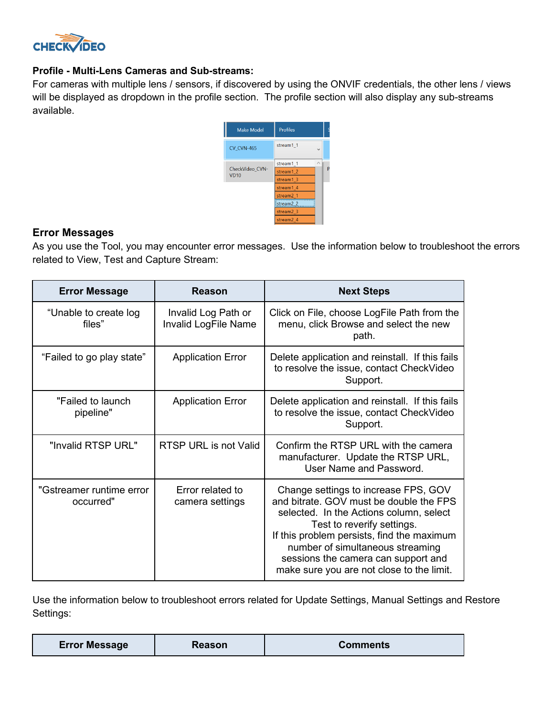

### **Profile - Multi-Lens Cameras and Sub-streams:**

For cameras with multiple lens / sensors, if discovered by using the ONVIF credentials, the other lens / views will be displayed as dropdown in the profile section. The profile section will also display any sub-streams available.



### **Error Messages**

As you use the Tool, you may encounter error messages. Use the information below to troubleshoot the errors related to View, Test and Capture Stream:

| <b>Error Message</b>                  | Reason                                             | <b>Next Steps</b>                                                                                                                                                                                                                                                                                                              |
|---------------------------------------|----------------------------------------------------|--------------------------------------------------------------------------------------------------------------------------------------------------------------------------------------------------------------------------------------------------------------------------------------------------------------------------------|
| "Unable to create log<br>files"       | Invalid Log Path or<br><b>Invalid LogFile Name</b> | Click on File, choose LogFile Path from the<br>menu, click Browse and select the new<br>path.                                                                                                                                                                                                                                  |
| "Failed to go play state"             | <b>Application Error</b>                           | Delete application and reinstall. If this fails<br>to resolve the issue, contact CheckVideo<br>Support.                                                                                                                                                                                                                        |
| "Failed to launch<br>pipeline"        | <b>Application Error</b>                           | Delete application and reinstall. If this fails<br>to resolve the issue, contact CheckVideo<br>Support.                                                                                                                                                                                                                        |
| "Invalid RTSP URL"                    | RTSP URL is not Valid                              | Confirm the RTSP URL with the camera<br>manufacturer. Update the RTSP URL,<br>User Name and Password.                                                                                                                                                                                                                          |
| "Gstreamer runtime error<br>occurred" | Error related to<br>camera settings                | Change settings to increase FPS, GOV<br>and bitrate. GOV must be double the FPS<br>selected. In the Actions column, select<br>Test to reverify settings.<br>If this problem persists, find the maximum<br>number of simultaneous streaming<br>sessions the camera can support and<br>make sure you are not close to the limit. |

Use the information below to troubleshoot errors related for Update Settings, Manual Settings and Restore Settings:

| <b>Error Message</b> | <b>Reason</b> | <b>Comments</b> |
|----------------------|---------------|-----------------|
|----------------------|---------------|-----------------|